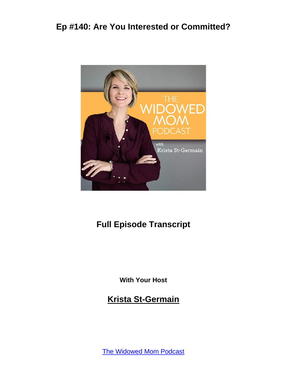

### **Full Episode Transcript**

**With Your Host**

**Krista St-Germain**

[The Widowed Mom Podcast](https://coachingwithkrista.com/podcast)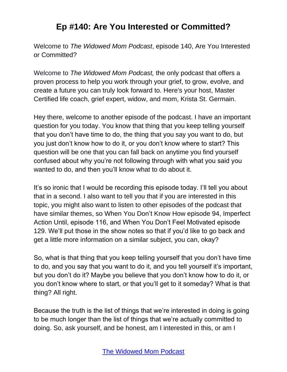Welcome to *The Widowed Mom Podcast*, episode 140, Are You Interested or Committed?

Welcome to *The Widowed Mom Podcast,* the only podcast that offers a proven process to help you work through your grief, to grow, evolve, and create a future you can truly look forward to. Here's your host, Master Certified life coach, grief expert, widow, and mom, Krista St. Germain.

Hey there, welcome to another episode of the podcast. I have an important question for you today. You know that thing that you keep telling yourself that you don't have time to do, the thing that you say you want to do, but you just don't know how to do it, or you don't know where to start? This question will be one that you can fall back on anytime you find yourself confused about why you're not following through with what you said you wanted to do, and then you'll know what to do about it.

It's so ironic that I would be recording this episode today. I'll tell you about that in a second. I also want to tell you that if you are interested in this topic, you might also want to listen to other episodes of the podcast that have similar themes, so When You Don't Know How episode 94, Imperfect Action Until, episode 116, and When You Don't Feel Motivated episode 129. We'll put those in the show notes so that if you'd like to go back and get a little more information on a similar subject, you can, okay?

So, what is that thing that you keep telling yourself that you don't have time to do, and you say that you want to do it, and you tell yourself it's important, but you don't do it? Maybe you believe that you don't know how to do it, or you don't know where to start, or that you'll get to it someday? What is that thing? All right.

Because the truth is the list of things that we're interested in doing is going to be much longer than the list of things that we're actually committed to doing. So, ask yourself, and be honest, am I interested in this, or am I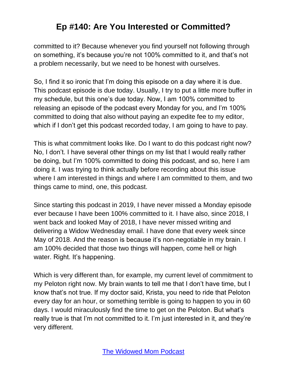committed to it? Because whenever you find yourself not following through on something, it's because you're not 100% committed to it, and that's not a problem necessarily, but we need to be honest with ourselves.

So, I find it so ironic that I'm doing this episode on a day where it is due. This podcast episode is due today. Usually, I try to put a little more buffer in my schedule, but this one's due today. Now, I am 100% committed to releasing an episode of the podcast every Monday for you, and I'm 100% committed to doing that also without paying an expedite fee to my editor, which if I don't get this podcast recorded today, I am going to have to pay.

This is what commitment looks like. Do I want to do this podcast right now? No, I don't. I have several other things on my list that I would really rather be doing, but I'm 100% committed to doing this podcast, and so, here I am doing it. I was trying to think actually before recording about this issue where I am interested in things and where I am committed to them, and two things came to mind, one, this podcast.

Since starting this podcast in 2019, I have never missed a Monday episode ever because I have been 100% committed to it. I have also, since 2018, I went back and looked May of 2018, I have never missed writing and delivering a Widow Wednesday email. I have done that every week since May of 2018. And the reason is because it's non-negotiable in my brain. I am 100% decided that those two things will happen, come hell or high water. Right. It's happening.

Which is very different than, for example, my current level of commitment to my Peloton right now. My brain wants to tell me that I don't have time, but I know that's not true. If my doctor said, Krista, you need to ride that Peloton every day for an hour, or something terrible is going to happen to you in 60 days. I would miraculously find the time to get on the Peloton. But what's really true is that I'm not committed to it. I'm just interested in it, and they're very different.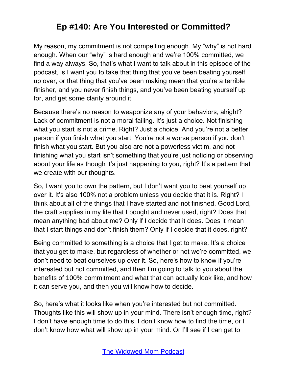My reason, my commitment is not compelling enough. My "why" is not hard enough. When our "why" is hard enough and we're 100% committed, we find a way always. So, that's what I want to talk about in this episode of the podcast, is I want you to take that thing that you've been beating yourself up over, or that thing that you've been making mean that you're a terrible finisher, and you never finish things, and you've been beating yourself up for, and get some clarity around it.

Because there's no reason to weaponize any of your behaviors, alright? Lack of commitment is not a moral failing. It's just a choice. Not finishing what you start is not a crime. Right? Just a choice. And you're not a better person if you finish what you start. You're not a worse person if you don't finish what you start. But you also are not a powerless victim, and not finishing what you start isn't something that you're just noticing or observing about your life as though it's just happening to you, right? It's a pattern that we create with our thoughts.

So, I want you to own the pattern, but I don't want you to beat yourself up over it. It's also 100% not a problem unless you decide that it is. Right? I think about all of the things that I have started and not finished. Good Lord, the craft supplies in my life that I bought and never used, right? Does that mean anything bad about me? Only if I decide that it does. Does it mean that I start things and don't finish them? Only if I decide that it does, right?

Being committed to something is a choice that I get to make. It's a choice that you get to make, but regardless of whether or not we're committed, we don't need to beat ourselves up over it. So, here's how to know if you're interested but not committed, and then I'm going to talk to you about the benefits of 100% commitment and what that can actually look like, and how it can serve you, and then you will know how to decide.

So, here's what it looks like when you're interested but not committed. Thoughts like this will show up in your mind. There isn't enough time, right? I don't have enough time to do this. I don't know how to find the time, or I don't know how what will show up in your mind. Or I'll see if I can get to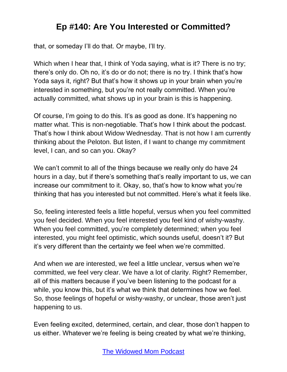that, or someday I'll do that. Or maybe, I'll try.

Which when I hear that, I think of Yoda saying, what is it? There is no try; there's only do. Oh no, it's do or do not; there is no try. I think that's how Yoda says it, right? But that's how it shows up in your brain when you're interested in something, but you're not really committed. When you're actually committed, what shows up in your brain is this is happening.

Of course, I'm going to do this. It's as good as done. It's happening no matter what. This is non-negotiable. That's how I think about the podcast. That's how I think about Widow Wednesday. That is not how I am currently thinking about the Peloton. But listen, if I want to change my commitment level, I can, and so can you. Okay?

We can't commit to all of the things because we really only do have 24 hours in a day, but if there's something that's really important to us, we can increase our commitment to it. Okay, so, that's how to know what you're thinking that has you interested but not committed. Here's what it feels like.

So, feeling interested feels a little hopeful, versus when you feel committed you feel decided. When you feel interested you feel kind of wishy-washy. When you feel committed, you're completely determined; when you feel interested, you might feel optimistic, which sounds useful, doesn't it? But it's very different than the certainty we feel when we're committed.

And when we are interested, we feel a little unclear, versus when we're committed, we feel very clear. We have a lot of clarity. Right? Remember, all of this matters because if you've been listening to the podcast for a while, you know this, but it's what we think that determines how we feel. So, those feelings of hopeful or wishy-washy, or unclear, those aren't just happening to us.

Even feeling excited, determined, certain, and clear, those don't happen to us either. Whatever we're feeling is being created by what we're thinking,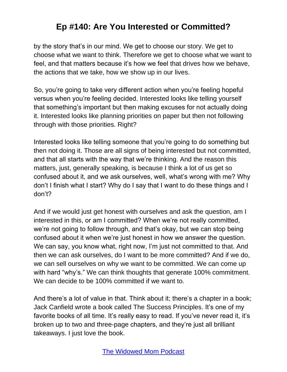by the story that's in our mind. We get to choose our story. We get to choose what we want to think. Therefore we get to choose what we want to feel, and that matters because it's how we feel that drives how we behave, the actions that we take, how we show up in our lives.

So, you're going to take very different action when you're feeling hopeful versus when you're feeling decided. Interested looks like telling yourself that something's important but then making excuses for not actually doing it. Interested looks like planning priorities on paper but then not following through with those priorities. Right?

Interested looks like telling someone that you're going to do something but then not doing it. Those are all signs of being interested but not committed, and that all starts with the way that we're thinking. And the reason this matters, just, generally speaking, is because I think a lot of us get so confused about it, and we ask ourselves, well, what's wrong with me? Why don't I finish what I start? Why do I say that I want to do these things and I don't?

And if we would just get honest with ourselves and ask the question, am I interested in this, or am I committed? When we're not really committed, we're not going to follow through, and that's okay, but we can stop being confused about it when we're just honest in how we answer the question. We can say, you know what, right now, I'm just not committed to that. And then we can ask ourselves, do I want to be more committed? And if we do, we can sell ourselves on why we want to be committed. We can come up with hard "why's." We can think thoughts that generate 100% commitment. We can decide to be 100% committed if we want to.

And there's a lot of value in that. Think about it; there's a chapter in a book; Jack Canfield wrote a book called The Success Principles. It's one of my favorite books of all time. It's really easy to read. If you've never read it, it's broken up to two and three-page chapters, and they're just all brilliant takeaways. I just love the book.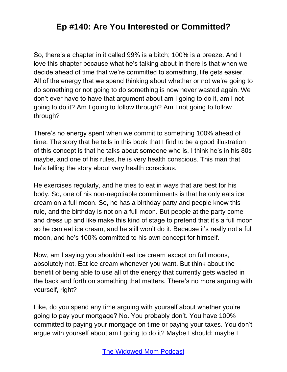So, there's a chapter in it called 99% is a bitch; 100% is a breeze. And I love this chapter because what he's talking about in there is that when we decide ahead of time that we're committed to something, life gets easier. All of the energy that we spend thinking about whether or not we're going to do something or not going to do something is now never wasted again. We don't ever have to have that argument about am I going to do it, am I not going to do it? Am I going to follow through? Am I not going to follow through?

There's no energy spent when we commit to something 100% ahead of time. The story that he tells in this book that I find to be a good illustration of this concept is that he talks about someone who is, I think he's in his 80s maybe, and one of his rules, he is very health conscious. This man that he's telling the story about very health conscious.

He exercises regularly, and he tries to eat in ways that are best for his body. So, one of his non-negotiable commitments is that he only eats ice cream on a full moon. So, he has a birthday party and people know this rule, and the birthday is not on a full moon. But people at the party come and dress up and like make this kind of stage to pretend that it's a full moon so he can eat ice cream, and he still won't do it. Because it's really not a full moon, and he's 100% committed to his own concept for himself.

Now, am I saying you shouldn't eat ice cream except on full moons, absolutely not. Eat ice cream whenever you want. But think about the benefit of being able to use all of the energy that currently gets wasted in the back and forth on something that matters. There's no more arguing with yourself, right?

Like, do you spend any time arguing with yourself about whether you're going to pay your mortgage? No. You probably don't. You have 100% committed to paying your mortgage on time or paying your taxes. You don't argue with yourself about am I going to do it? Maybe I should; maybe I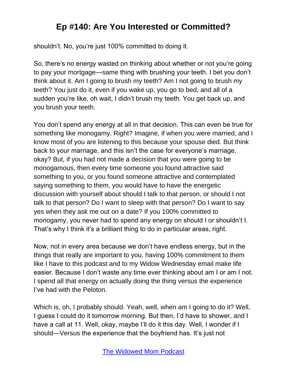shouldn't. No, you're just 100% committed to doing it.

So, there's no energy wasted on thinking about whether or not you're going to pay your mortgage—same thing with brushing your teeth. I bet you don't think about it. Am I going to brush my teeth? Am I not going to brush my teeth? You just do it, even if you wake up, you go to bed, and all of a sudden you're like, oh wait, I didn't brush my teeth. You get back up, and you brush your teeth.

You don't spend any energy at all in that decision. This can even be true for something like monogamy. Right? Imagine, if when you were married, and I know most of you are listening to this because your spouse died. But think back to your marriage, and this isn't the case for everyone's marriage, okay? But, if you had not made a decision that you were going to be monogamous, then every time someone you found attractive said something to you, or you found someone attractive and contemplated saying something to them, you would have to have the energetic discussion with yourself about should I talk to that person, or should I not talk to that person? Do I want to sleep with that person? Do I want to say yes when they ask me out on a date? If you 100% committed to monogamy, you never had to spend any energy on should I or shouldn't I. That's why I think it's a brilliant thing to do in particular areas, right.

Now, not in every area because we don't have endless energy, but in the things that really are important to you, having 100% commitment to them like I have to this podcast and to my Widow Wednesday email make life easier. Because I don't waste any time ever thinking about am I or am I not. I spend all that energy on actually doing the thing versus the experience I've had with the Peloton.

Which is, oh, I probably should. Yeah, well, when am I going to do it? Well, I guess I could do it tomorrow morning. But then, I'd have to shower, and I have a call at 11. Well, okay, maybe I'll do it this day. Well, I wonder if I should—Versus the experience that the boyfriend has. It's just not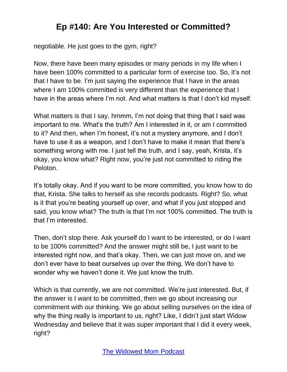negotiable. He just goes to the gym, right?

Now, there have been many episodes or many periods in my life when I have been 100% committed to a particular form of exercise too. So, it's not that I have to be. I'm just saying the experience that I have in the areas where I am 100% committed is very different than the experience that I have in the areas where I'm not. And what matters is that I don't kid myself.

What matters is that I say, hmmm, I'm not doing that thing that I said was important to me. What's the truth? Am I interested in it, or am I committed to it? And then, when I'm honest, it's not a mystery anymore, and I don't have to use it as a weapon, and I don't have to make it mean that there's something wrong with me. I just tell the truth, and I say, yeah, Krista, it's okay, you know what? Right now, you're just not committed to riding the Peloton.

It's totally okay. And if you want to be more committed, you know how to do that, Krista. She talks to herself as she records podcasts. Right? So, what is it that you're beating yourself up over, and what if you just stopped and said, you know what? The truth is that I'm not 100% committed. The truth is that I'm interested.

Then, don't stop there. Ask yourself do I want to be interested, or do I want to be 100% committed? And the answer might still be, I just want to be interested right now, and that's okay. Then, we can just move on, and we don't ever have to beat ourselves up over the thing. We don't have to wonder why we haven't done it. We just know the truth.

Which is that currently, we are not committed. We're just interested. But, if the answer is I want to be committed, then we go about increasing our commitment with our thinking. We go about selling ourselves on the idea of why the thing really is important to us, right? Like, I didn't just start Widow Wednesday and believe that it was super important that I did it every week, right?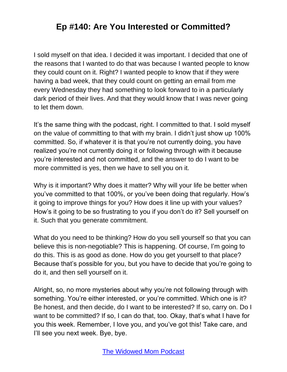I sold myself on that idea. I decided it was important. I decided that one of the reasons that I wanted to do that was because I wanted people to know they could count on it. Right? I wanted people to know that if they were having a bad week, that they could count on getting an email from me every Wednesday they had something to look forward to in a particularly dark period of their lives. And that they would know that I was never going to let them down.

It's the same thing with the podcast, right. I committed to that. I sold myself on the value of committing to that with my brain. I didn't just show up 100% committed. So, if whatever it is that you're not currently doing, you have realized you're not currently doing it or following through with it because you're interested and not committed, and the answer to do I want to be more committed is yes, then we have to sell you on it.

Why is it important? Why does it matter? Why will your life be better when you've committed to that 100%, or you've been doing that regularly. How's it going to improve things for you? How does it line up with your values? How's it going to be so frustrating to you if you don't do it? Sell yourself on it. Such that you generate commitment.

What do you need to be thinking? How do you sell yourself so that you can believe this is non-negotiable? This is happening. Of course, I'm going to do this. This is as good as done. How do you get yourself to that place? Because that's possible for you, but you have to decide that you're going to do it, and then sell yourself on it.

Alright, so, no more mysteries about why you're not following through with something. You're either interested, or you're committed. Which one is it? Be honest, and then decide, do I want to be interested? If so, carry on. Do I want to be committed? If so, I can do that, too. Okay, that's what I have for you this week. Remember, I love you, and you've got this! Take care, and I'll see you next week. Bye, bye.